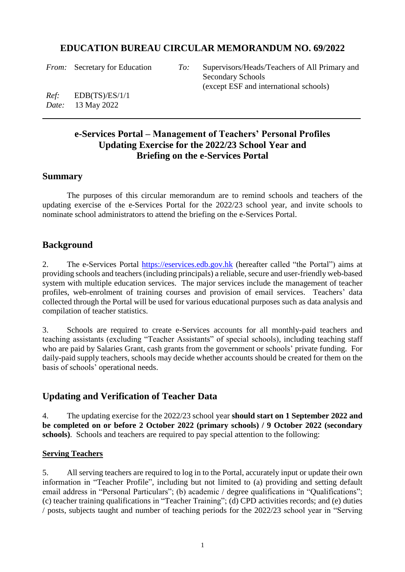# **EDUCATION BUREAU CIRCULAR MEMORANDUM NO. 69/2022**

*From:* Secretary for Education *To:* Supervisors/Heads/Teachers of All Primary and Secondary Schools (except ESF and international schools)

*Ref:* EDB(TS)/ES/1/1 *Date:* 13 May 2022

# **e-Services Portal – Management of Teachers' Personal Profiles Updating Exercise for the 2022/23 School Year and Briefing on the e-Services Portal**

### **Summary**

The purposes of this circular memorandum are to remind schools and teachers of the updating exercise of the e-Services Portal for the 2022/23 school year, and invite schools to nominate school administrators to attend the briefing on the e-Services Portal.

# **Background**

2. The e-Services Portal [https://eservices.edb.gov.hk](https://eservices.edb.gov.hk/) (hereafter called "the Portal") aims at providing schools and teachers (including principals) a reliable, secure and user-friendly web-based system with multiple education services. The major services include the management of teacher profiles, web-enrolment of training courses and provision of email services. Teachers' data collected through the Portal will be used for various educational purposes such as data analysis and compilation of teacher statistics.

3. Schools are required to create e-Services accounts for all monthly-paid teachers and teaching assistants (excluding "Teacher Assistants" of special schools), including teaching staff who are paid by Salaries Grant, cash grants from the government or schools' private funding. For daily-paid supply teachers, schools may decide whether accounts should be created for them on the basis of schools' operational needs.

# **Updating and Verification of Teacher Data**

4. The updating exercise for the 2022/23 school year **should start on 1 September 2022 and be completed on or before 2 October 2022 (primary schools) / 9 October 2022 (secondary schools)**.Schools and teachers are required to pay special attention to the following:

### **Serving Teachers**

5. All serving teachers are required to log in to the Portal, accurately input or update their own information in "Teacher Profile", including but not limited to (a) providing and setting default email address in "Personal Particulars"; (b) academic / degree qualifications in "Qualifications"; (c) teacher training qualifications in "Teacher Training"; (d) CPD activities records; and (e) duties / posts, subjects taught and number of teaching periods for the 2022/23 school year in "Serving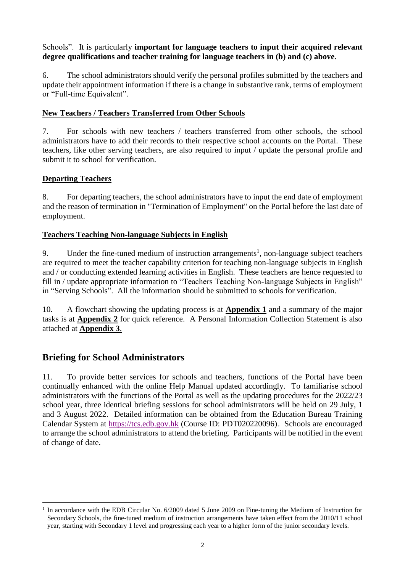### Schools". It is particularly **important for language teachers to input their acquired relevant degree qualifications and teacher training for language teachers in (b) and (c) above**.

6. The school administrators should verify the personal profiles submitted by the teachers and update their appointment information if there is a change in substantive rank, terms of employment or "Full-time Equivalent".

### **New Teachers / Teachers Transferred from Other Schools**

7. For schools with new teachers / teachers transferred from other schools, the school administrators have to add their records to their respective school accounts on the Portal. These teachers, like other serving teachers, are also required to input / update the personal profile and submit it to school for verification.

### **Departing Teachers**

 $\overline{a}$ 

8. For departing teachers, the school administrators have to input the end date of employment and the reason of termination in "Termination of Employment" on the Portal before the last date of employment.

### **Teachers Teaching Non-language Subjects in English**

9. Under the fine-tuned medium of instruction arrangements<sup>1</sup>, non-language subject teachers are required to meet the teacher capability criterion for teaching non-language subjects in English and / or conducting extended learning activities in English. These teachers are hence requested to fill in / update appropriate information to "Teachers Teaching Non-language Subjects in English" in "Serving Schools". All the information should be submitted to schools for verification.

10. A flowchart showing the updating process is at **Appendix 1** and a summary of the major tasks is at **Appendix 2** for quick reference. A Personal Information Collection Statement is also attached at **Appendix 3**.

# **Briefing for School Administrators**

11. To provide better services for schools and teachers, functions of the Portal have been continually enhanced with the online Help Manual updated accordingly. To familiarise school administrators with the functions of the Portal as well as the updating procedures for the 2022/23 school year, three identical briefing sessions for school administrators will be held on 29 July, 1 and 3 August 2022. Detailed information can be obtained from the Education Bureau Training Calendar System at [https://tcs.edb.gov.hk](https://tcs.edb.gov.hk/tcs/admin/courses/previewCourse/forPortal.htm?courseId=PDT020220096&lang=en) (Course ID: PDT020220096). Schools are encouraged to arrange the school administrators to attend the briefing. Participants will be notified in the event of change of date.

<sup>1</sup> In accordance with the EDB Circular No. 6/2009 dated 5 June 2009 on Fine-tuning the Medium of Instruction for Secondary Schools, the fine-tuned medium of instruction arrangements have taken effect from the 2010/11 school year, starting with Secondary 1 level and progressing each year to a higher form of the junior secondary levels.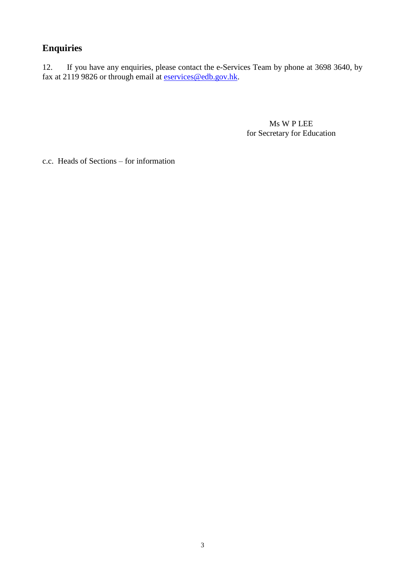# **Enquiries**

12. If you have any enquiries, please contact the e-Services Team by phone at 3698 3640, by fax at 2119 9826 or through email at **eservices@edb.gov.hk**.

> Ms W P LEE for Secretary for Education

c.c. Heads of Sections – for information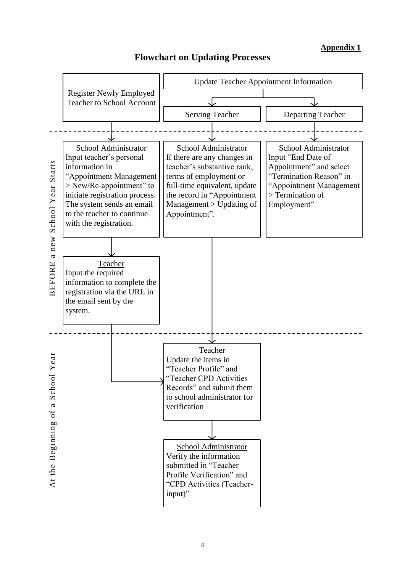### **Appendix 1**



# **Flowchart on Updating Processes**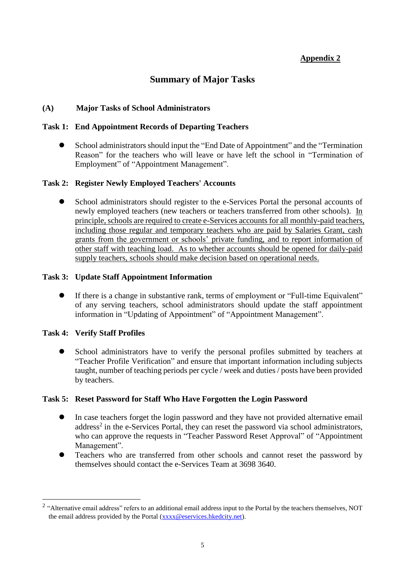### **Appendix 2**

# **Summary of Major Tasks**

#### **(A) Major Tasks of School Administrators**

#### **Task 1: End Appointment Records of Departing Teachers**

 School administrators should input the "End Date of Appointment" and the "Termination Reason" for the teachers who will leave or have left the school in "Termination of Employment" of "Appointment Management".

#### **Task 2: Register Newly Employed Teachers' Accounts**

 School administrators should register to the e-Services Portal the personal accounts of newly employed teachers (new teachers or teachers transferred from other schools). In principle, schools are required to create e-Services accounts for all monthly-paid teachers, including those regular and temporary teachers who are paid by Salaries Grant, cash grants from the government or schools' private funding, and to report information of other staff with teaching load. As to whether accounts should be opened for daily-paid supply teachers, schools should make decision based on operational needs.

#### **Task 3: Update Staff Appointment Information**

 If there is a change in substantive rank, terms of employment or "Full-time Equivalent" of any serving teachers, school administrators should update the staff appointment information in "Updating of Appointment" of "Appointment Management".

### **Task 4: Verify Staff Profiles**

 $\overline{a}$ 

 School administrators have to verify the personal profiles submitted by teachers at "Teacher Profile Verification" and ensure that important information including subjects taught, number of teaching periods per cycle / week and duties / posts have been provided by teachers.

### **Task 5: Reset Password for Staff Who Have Forgotten the Login Password**

- In case teachers forget the login password and they have not provided alternative email address<sup>2</sup> in the e-Services Portal, they can reset the password via school administrators, who can approve the requests in "Teacher Password Reset Approval" of "Appointment" Management".
- Teachers who are transferred from other schools and cannot reset the password by themselves should contact the e-Services Team at 3698 3640.

<sup>&</sup>lt;sup>2</sup> "Alternative email address" refers to an additional email address input to the Portal by the teachers themselves, NOT the email address provided by the Portal [\(xxxx@eservices.hkedcity.net\)](mailto:xxxx@eservices.hkedcity.net).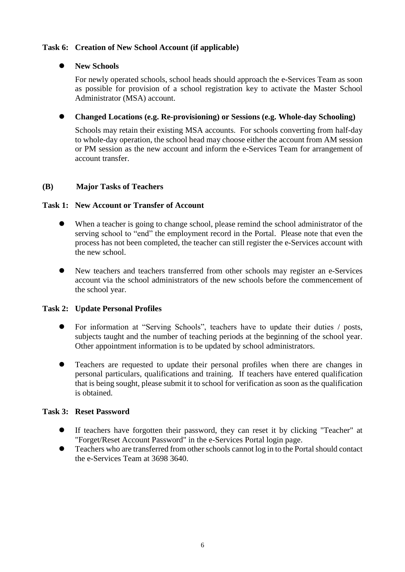### **Task 6: Creation of New School Account (if applicable)**

#### **New Schools**

For newly operated schools, school heads should approach the e-Services Team as soon as possible for provision of a school registration key to activate the Master School Administrator (MSA) account.

#### **Changed Locations (e.g. Re-provisioning) or Sessions (e.g. Whole-day Schooling)**

Schools may retain their existing MSA accounts. For schools converting from half-day to whole-day operation, the school head may choose either the account from AM session or PM session as the new account and inform the e-Services Team for arrangement of account transfer.

#### **(B) Major Tasks of Teachers**

#### **Task 1: New Account or Transfer of Account**

- When a teacher is going to change school, please remind the school administrator of the serving school to "end" the employment record in the Portal. Please note that even the process has not been completed, the teacher can still register the e-Services account with the new school.
- New teachers and teachers transferred from other schools may register an e-Services account via the school administrators of the new schools before the commencement of the school year.

#### **Task 2: Update Personal Profiles**

- For information at "Serving Schools", teachers have to update their duties / posts, subjects taught and the number of teaching periods at the beginning of the school year. Other appointment information is to be updated by school administrators.
- Teachers are requested to update their personal profiles when there are changes in personal particulars, qualifications and training. If teachers have entered qualification that is being sought, please submit it to school for verification as soon as the qualification is obtained.

#### **Task 3: Reset Password**

- If teachers have forgotten their password, they can reset it by clicking "Teacher" at "Forget/Reset Account Password" in the e-Services Portal login page.
- Teachers who are transferred from other schools cannot log in to the Portal should contact the e-Services Team at 3698 3640.